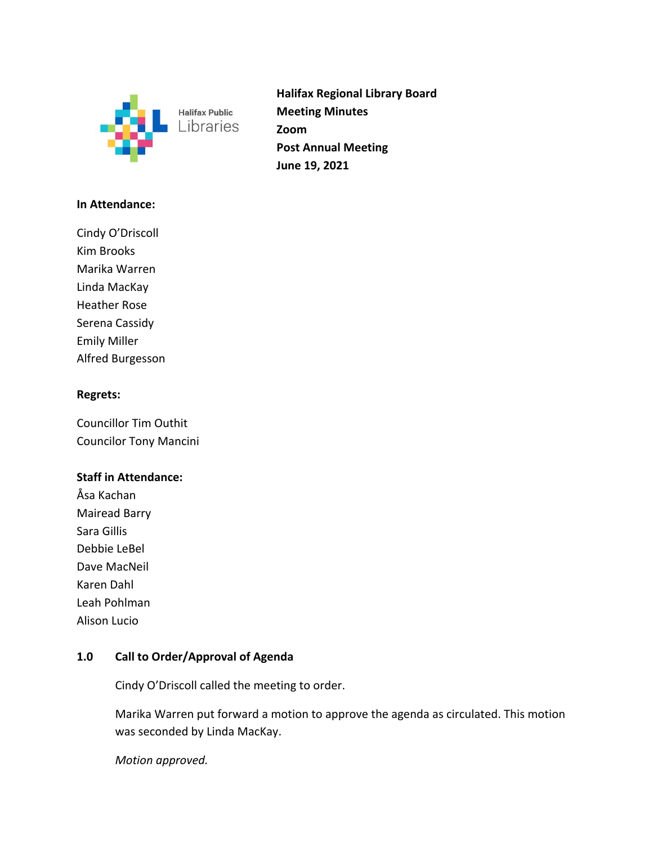

**Halifax Regional Library Board Meeting Minutes Zoom Post Annual Meeting June 19, 2021** 

## **In Attendance:**

Cindy O'Driscoll Kim Brooks Marika Warren Linda MacKay Heather Rose Serena Cassidy Emily Miller Alfred Burgesson

### **Regrets:**

Councillor Tim Outhit Councilor Tony Mancini

### **Staff in Attendance:**

Åsa Kachan Mairead Barry Sara Gillis Debbie LeBel Dave MacNeil Karen Dahl Leah Pohlman Alison Lucio

# **1.0 Call to Order/Approval of Agenda**

Cindy O'Driscoll called the meeting to order.

 Marika Warren put forward a motion to approve the agenda as circulated. This motion was seconded by Linda MacKay.

 *Motion approved.*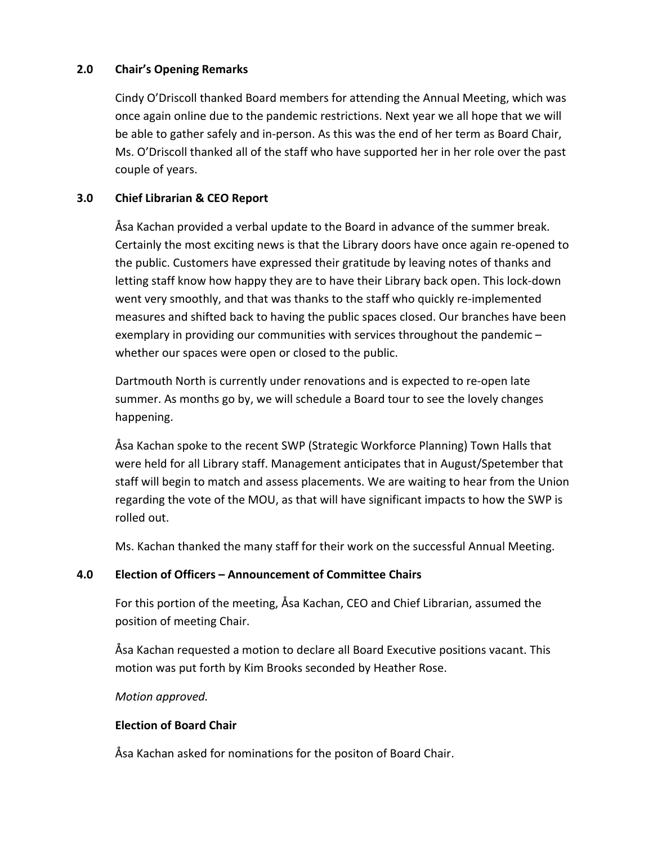## **2.0 Chair's Opening Remarks**

 Cindy O'Driscoll thanked Board members for attending the Annual Meeting, which was once again online due to the pandemic restrictions. Next year we all hope that we will be able to gather safely and in‐person. As this was the end of her term as Board Chair, Ms. O'Driscoll thanked all of the staff who have supported her in her role over the past couple of years.

## **3.0 Chief Librarian & CEO Report**

Åsa Kachan provided a verbal update to the Board in advance of the summer break. Certainly the most exciting news is that the Library doors have once again re‐opened to the public. Customers have expressed their gratitude by leaving notes of thanks and letting staff know how happy they are to have their Library back open. This lock‐down went very smoothly, and that was thanks to the staff who quickly re-implemented measures and shifted back to having the public spaces closed. Our branches have been exemplary in providing our communities with services throughout the pandemic – whether our spaces were open or closed to the public.

Dartmouth North is currently under renovations and is expected to re‐open late summer. As months go by, we will schedule a Board tour to see the lovely changes happening.

Åsa Kachan spoke to the recent SWP (Strategic Workforce Planning) Town Halls that were held for all Library staff. Management anticipates that in August/Spetember that staff will begin to match and assess placements. We are waiting to hear from the Union regarding the vote of the MOU, as that will have significant impacts to how the SWP is rolled out.

Ms. Kachan thanked the many staff for their work on the successful Annual Meeting.

# **4.0 Election of Officers – Announcement of Committee Chairs**

For this portion of the meeting, Åsa Kachan, CEO and Chief Librarian, assumed the position of meeting Chair.

Åsa Kachan requested a motion to declare all Board Executive positions vacant. This motion was put forth by Kim Brooks seconded by Heather Rose.

*Motion approved.* 

### **Election of Board Chair**

Åsa Kachan asked for nominations for the positon of Board Chair.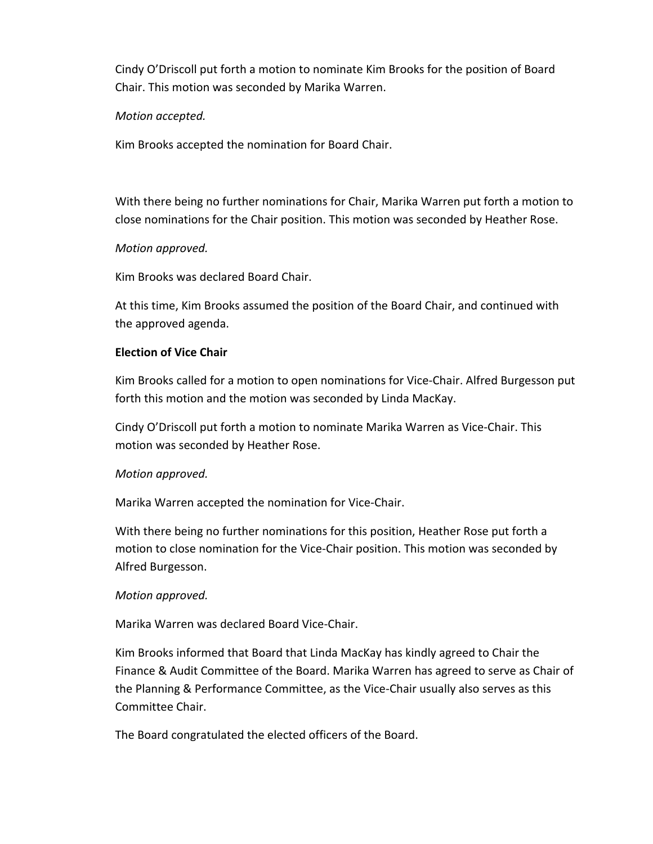Cindy O'Driscoll put forth a motion to nominate Kim Brooks for the position of Board Chair. This motion was seconded by Marika Warren.

### *Motion accepted.*

Kim Brooks accepted the nomination for Board Chair.

With there being no further nominations for Chair, Marika Warren put forth a motion to close nominations for the Chair position. This motion was seconded by Heather Rose.

## *Motion approved.*

Kim Brooks was declared Board Chair.

At this time, Kim Brooks assumed the position of the Board Chair, and continued with the approved agenda.

## **Election of Vice Chair**

Kim Brooks called for a motion to open nominations for Vice‐Chair. Alfred Burgesson put forth this motion and the motion was seconded by Linda MacKay.

Cindy O'Driscoll put forth a motion to nominate Marika Warren as Vice‐Chair. This motion was seconded by Heather Rose.

### *Motion approved.*

Marika Warren accepted the nomination for Vice‐Chair.

With there being no further nominations for this position, Heather Rose put forth a motion to close nomination for the Vice‐Chair position. This motion was seconded by Alfred Burgesson.

### *Motion approved.*

Marika Warren was declared Board Vice‐Chair.

Kim Brooks informed that Board that Linda MacKay has kindly agreed to Chair the Finance & Audit Committee of the Board. Marika Warren has agreed to serve as Chair of the Planning & Performance Committee, as the Vice‐Chair usually also serves as this Committee Chair.

The Board congratulated the elected officers of the Board.